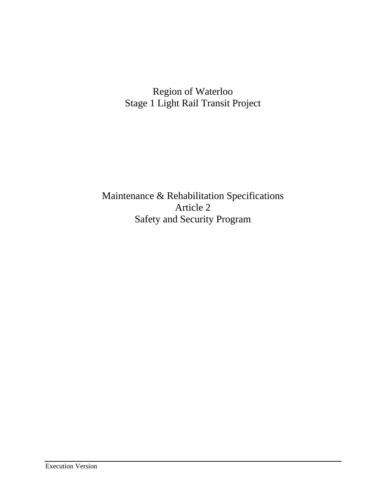# Region of Waterloo Stage 1 Light Rail Transit Project

Maintenance & Rehabilitation Specifications Article 2 Safety and Security Program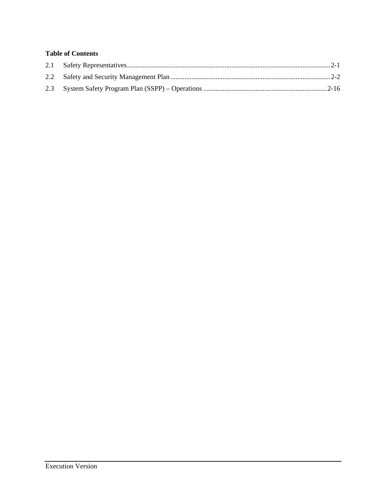## **Table of Contents**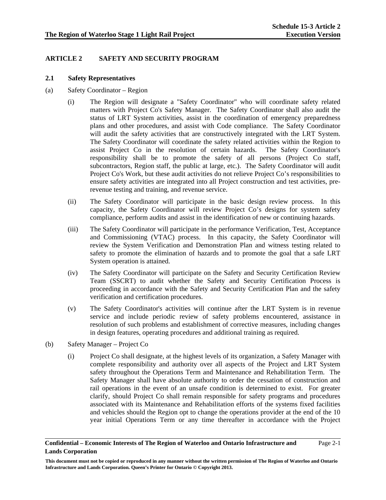### **ARTICLE 2 SAFETY AND SECURITY PROGRAM**

#### **2.1 Safety Representatives**

- (a) Safety Coordinator Region
	- (i) The Region will designate a "Safety Coordinator" who will coordinate safety related matters with Project Co's Safety Manager. The Safety Coordinator shall also audit the status of LRT System activities, assist in the coordination of emergency preparedness plans and other procedures, and assist with Code compliance. The Safety Coordinator will audit the safety activities that are constructively integrated with the LRT System. The Safety Coordinator will coordinate the safety related activities within the Region to assist Project Co in the resolution of certain hazards. The Safety Coordinator's responsibility shall be to promote the safety of all persons (Project Co staff, subcontractors, Region staff, the public at large, etc.). The Safety Coordinator will audit Project Co's Work, but these audit activities do not relieve Project Co's responsibilities to ensure safety activities are integrated into all Project construction and test activities, prerevenue testing and training, and revenue service.
	- (ii) The Safety Coordinator will participate in the basic design review process. In this capacity, the Safety Coordinator will review Project Co's designs for system safety compliance, perform audits and assist in the identification of new or continuing hazards.
	- (iii) The Safety Coordinator will participate in the performance Verification, Test, Acceptance and Commissioning (VTAC) process. In this capacity, the Safety Coordinator will review the System Verification and Demonstration Plan and witness testing related to safety to promote the elimination of hazards and to promote the goal that a safe LRT System operation is attained.
	- (iv) The Safety Coordinator will participate on the Safety and Security Certification Review Team (SSCRT) to audit whether the Safety and Security Certification Process is proceeding in accordance with the Safety and Security Certification Plan and the safety verification and certification procedures.
	- (v) The Safety Coordinator's activities will continue after the LRT System is in revenue service and include periodic review of safety problems encountered, assistance in resolution of such problems and establishment of corrective measures, including changes in design features, operating procedures and additional training as required.
- (b) Safety Manager Project Co
	- (i) Project Co shall designate, at the highest levels of its organization, a Safety Manager with complete responsibility and authority over all aspects of the Project and LRT System safety throughout the Operations Term and Maintenance and Rehabilitation Term. The Safety Manager shall have absolute authority to order the cessation of construction and rail operations in the event of an unsafe condition is determined to exist. For greater clarify, should Project Co shall remain responsible for safety programs and procedures associated with its Maintenance and Rehabilitation efforts of the systems fixed facilities and vehicles should the Region opt to change the operations provider at the end of the 10 year initial Operations Term or any time thereafter in accordance with the Project

#### **Confidential – Economic Interests of The Region of Waterloo and Ontario Infrastructure and Lands Corporation**  Page 2-1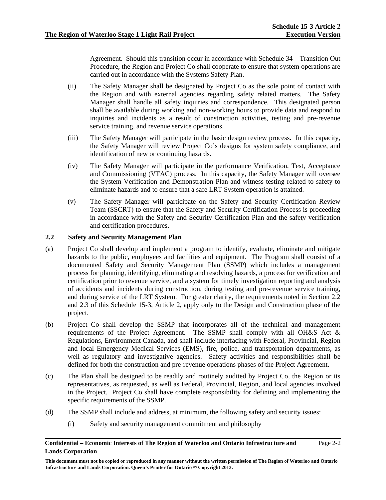Agreement. Should this transition occur in accordance with Schedule 34 – Transition Out Procedure, the Region and Project Co shall cooperate to ensure that system operations are carried out in accordance with the Systems Safety Plan.

- (ii) The Safety Manager shall be designated by Project Co as the sole point of contact with the Region and with external agencies regarding safety related matters. The Safety Manager shall handle all safety inquiries and correspondence. This designated person shall be available during working and non-working hours to provide data and respond to inquiries and incidents as a result of construction activities, testing and pre-revenue service training, and revenue service operations.
- (iii) The Safety Manager will participate in the basic design review process. In this capacity, the Safety Manager will review Project Co's designs for system safety compliance, and identification of new or continuing hazards.
- (iv) The Safety Manager will participate in the performance Verification, Test, Acceptance and Commissioning (VTAC) process. In this capacity, the Safety Manager will oversee the System Verification and Demonstration Plan and witness testing related to safety to eliminate hazards and to ensure that a safe LRT System operation is attained.
- (v) The Safety Manager will participate on the Safety and Security Certification Review Team (SSCRT) to ensure that the Safety and Security Certification Process is proceeding in accordance with the Safety and Security Certification Plan and the safety verification and certification procedures.

#### **2.2 Safety and Security Management Plan**

- (a) Project Co shall develop and implement a program to identify, evaluate, eliminate and mitigate hazards to the public, employees and facilities and equipment. The Program shall consist of a documented Safety and Security Management Plan (SSMP) which includes a management process for planning, identifying, eliminating and resolving hazards, a process for verification and certification prior to revenue service, and a system for timely investigation reporting and analysis of accidents and incidents during construction, during testing and pre-revenue service training, and during service of the LRT System. For greater clarity, the requirements noted in Section 2.2 and 2.3 of this Schedule 15-3, Article 2, apply only to the Design and Construction phase of the project.
- (b) Project Co shall develop the SSMP that incorporates all of the technical and management requirements of the Project Agreement. The SSMP shall comply with all OH&S Act & Regulations, Environment Canada, and shall include interfacing with Federal, Provincial, Region and local Emergency Medical Services (EMS), fire, police, and transportation departments, as well as regulatory and investigative agencies. Safety activities and responsibilities shall be defined for both the construction and pre-revenue operations phases of the Project Agreement.
- (c) The Plan shall be designed to be readily and routinely audited by Project Co, the Region or its representatives, as requested, as well as Federal, Provincial, Region, and local agencies involved in the Project. Project Co shall have complete responsibility for defining and implementing the specific requirements of the SSMP.
- (d) The SSMP shall include and address, at minimum, the following safety and security issues:
	- (i) Safety and security management commitment and philosophy

### **Confidential – Economic Interests of The Region of Waterloo and Ontario Infrastructure and Lands Corporation**

Page 2-2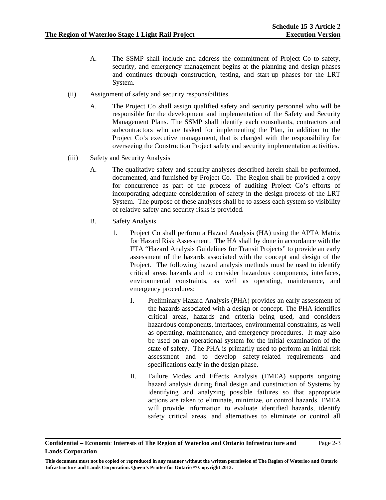- A. The SSMP shall include and address the commitment of Project Co to safety, security, and emergency management begins at the planning and design phases and continues through construction, testing, and start-up phases for the LRT System.
- (ii) Assignment of safety and security responsibilities.
	- A. The Project Co shall assign qualified safety and security personnel who will be responsible for the development and implementation of the Safety and Security Management Plans. The SSMP shall identify each consultants, contractors and subcontractors who are tasked for implementing the Plan, in addition to the Project Co's executive management, that is charged with the responsibility for overseeing the Construction Project safety and security implementation activities.
- (iii) Safety and Security Analysis
	- A. The qualitative safety and security analyses described herein shall be performed, documented, and furnished by Project Co. The Region shall be provided a copy for concurrence as part of the process of auditing Project Co's efforts of incorporating adequate consideration of safety in the design process of the LRT System. The purpose of these analyses shall be to assess each system so visibility of relative safety and security risks is provided.
	- B. Safety Analysis
		- 1. Project Co shall perform a Hazard Analysis (HA) using the APTA Matrix for Hazard Risk Assessment. The HA shall by done in accordance with the FTA "Hazard Analysis Guidelines for Transit Projects" to provide an early assessment of the hazards associated with the concept and design of the Project. The following hazard analysis methods must be used to identify critical areas hazards and to consider hazardous components, interfaces, environmental constraints, as well as operating, maintenance, and emergency procedures:
			- I. Preliminary Hazard Analysis (PHA) provides an early assessment of the hazards associated with a design or concept. The PHA identifies critical areas, hazards and criteria being used, and considers hazardous components, interfaces, environmental constraints, as well as operating, maintenance, and emergency procedures. It may also be used on an operational system for the initial examination of the state of safety. The PHA is primarily used to perform an initial risk assessment and to develop safety-related requirements and specifications early in the design phase.
			- II. Failure Modes and Effects Analysis (FMEA) supports ongoing hazard analysis during final design and construction of Systems by identifying and analyzing possible failures so that appropriate actions are taken to eliminate, minimize, or control hazards. FMEA will provide information to evaluate identified hazards, identify safety critical areas, and alternatives to eliminate or control all

### **Confidential – Economic Interests of The Region of Waterloo and Ontario Infrastructure and Lands Corporation**

**This document must not be copied or reproduced in any manner without the written permission of The Region of Waterloo and Ontario Infrastructure and Lands Corporation. Queen's Printer for Ontario © Copyright 2013.**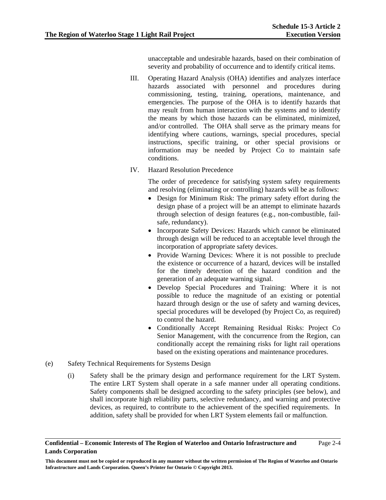unacceptable and undesirable hazards, based on their combination of severity and probability of occurrence and to identify critical items.

- III. Operating Hazard Analysis (OHA) identifies and analyzes interface hazards associated with personnel and procedures during commissioning, testing, training, operations, maintenance, and emergencies. The purpose of the OHA is to identify hazards that may result from human interaction with the systems and to identify the means by which those hazards can be eliminated, minimized, and/or controlled. The OHA shall serve as the primary means for identifying where cautions, warnings, special procedures, special instructions, specific training, or other special provisions or information may be needed by Project Co to maintain safe conditions.
- IV. Hazard Resolution Precedence

The order of precedence for satisfying system safety requirements and resolving (eliminating or controlling) hazards will be as follows:

- Design for Minimum Risk: The primary safety effort during the design phase of a project will be an attempt to eliminate hazards through selection of design features (e.g., non-combustible, failsafe, redundancy).
- Incorporate Safety Devices: Hazards which cannot be eliminated through design will be reduced to an acceptable level through the incorporation of appropriate safety devices.
- Provide Warning Devices: Where it is not possible to preclude the existence or occurrence of a hazard, devices will be installed for the timely detection of the hazard condition and the generation of an adequate warning signal.
- Develop Special Procedures and Training: Where it is not possible to reduce the magnitude of an existing or potential hazard through design or the use of safety and warning devices, special procedures will be developed (by Project Co, as required) to control the hazard.
- Conditionally Accept Remaining Residual Risks: Project Co Senior Management, with the concurrence from the Region, can conditionally accept the remaining risks for light rail operations based on the existing operations and maintenance procedures.
- (e) Safety Technical Requirements for Systems Design
	- (i) Safety shall be the primary design and performance requirement for the LRT System. The entire LRT System shall operate in a safe manner under all operating conditions. Safety components shall be designed according to the safety principles (see below), and shall incorporate high reliability parts, selective redundancy, and warning and protective devices, as required, to contribute to the achievement of the specified requirements. In addition, safety shall be provided for when LRT System elements fail or malfunction.

### **Confidential – Economic Interests of The Region of Waterloo and Ontario Infrastructure and Lands Corporation**

**This document must not be copied or reproduced in any manner without the written permission of The Region of Waterloo and Ontario Infrastructure and Lands Corporation. Queen's Printer for Ontario © Copyright 2013.**

Page 2-4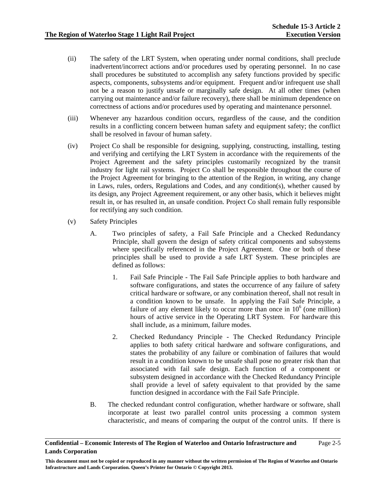- (ii) The safety of the LRT System, when operating under normal conditions, shall preclude inadvertent/incorrect actions and/or procedures used by operating personnel. In no case shall procedures be substituted to accomplish any safety functions provided by specific aspects, components, subsystems and/or equipment. Frequent and/or infrequent use shall not be a reason to justify unsafe or marginally safe design. At all other times (when carrying out maintenance and/or failure recovery), there shall be minimum dependence on correctness of actions and/or procedures used by operating and maintenance personnel.
- (iii) Whenever any hazardous condition occurs, regardless of the cause, and the condition results in a conflicting concern between human safety and equipment safety; the conflict shall be resolved in favour of human safety.
- (iv) Project Co shall be responsible for designing, supplying, constructing, installing, testing and verifying and certifying the LRT System in accordance with the requirements of the Project Agreement and the safety principles customarily recognized by the transit industry for light rail systems. Project Co shall be responsible throughout the course of the Project Agreement for bringing to the attention of the Region, in writing, any change in Laws, rules, orders, Regulations and Codes, and any condition(s), whether caused by its design, any Project Agreement requirement, or any other basis, which it believes might result in, or has resulted in, an unsafe condition. Project Co shall remain fully responsible for rectifying any such condition.
- (v) Safety Principles
	- A. Two principles of safety, a Fail Safe Principle and a Checked Redundancy Principle, shall govern the design of safety critical components and subsystems where specifically referenced in the Project Agreement. One or both of these principles shall be used to provide a safe LRT System. These principles are defined as follows:
		- 1. Fail Safe Principle The Fail Safe Principle applies to both hardware and software configurations, and states the occurrence of any failure of safety critical hardware or software, or any combination thereof, shall not result in a condition known to be unsafe. In applying the Fail Safe Principle, a failure of any element likely to occur more than once in  $10<sup>6</sup>$  (one million) hours of active service in the Operating LRT System. For hardware this shall include, as a minimum, failure modes.
		- 2. Checked Redundancy Principle The Checked Redundancy Principle applies to both safety critical hardware and software configurations, and states the probability of any failure or combination of failures that would result in a condition known to be unsafe shall pose no greater risk than that associated with fail safe design. Each function of a component or subsystem designed in accordance with the Checked Redundancy Principle shall provide a level of safety equivalent to that provided by the same function designed in accordance with the Fail Safe Principle.
	- B. The checked redundant control configuration, whether hardware or software, shall incorporate at least two parallel control units processing a common system characteristic, and means of comparing the output of the control units. If there is

### **Confidential – Economic Interests of The Region of Waterloo and Ontario Infrastructure and Lands Corporation**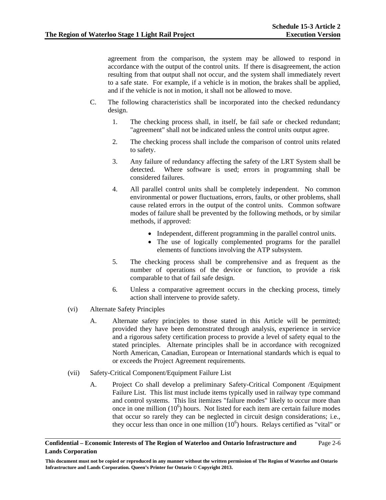agreement from the comparison, the system may be allowed to respond in accordance with the output of the control units. If there is disagreement, the action resulting from that output shall not occur, and the system shall immediately revert to a safe state. For example, if a vehicle is in motion, the brakes shall be applied, and if the vehicle is not in motion, it shall not be allowed to move.

- C. The following characteristics shall be incorporated into the checked redundancy design.
	- 1. The checking process shall, in itself, be fail safe or checked redundant; "agreement" shall not be indicated unless the control units output agree.
	- 2. The checking process shall include the comparison of control units related to safety.
	- 3. Any failure of redundancy affecting the safety of the LRT System shall be detected. Where software is used; errors in programming shall be considered failures.
	- 4. All parallel control units shall be completely independent. No common environmental or power fluctuations, errors, faults, or other problems, shall cause related errors in the output of the control units. Common software modes of failure shall be prevented by the following methods, or by similar methods, if approved:
		- Independent, different programming in the parallel control units.
		- The use of logically complemented programs for the parallel elements of functions involving the ATP subsystem.
	- 5. The checking process shall be comprehensive and as frequent as the number of operations of the device or function, to provide a risk comparable to that of fail safe design.
	- 6. Unless a comparative agreement occurs in the checking process, timely action shall intervene to provide safety.
- (vi) Alternate Safety Principles
	- A. Alternate safety principles to those stated in this Article will be permitted; provided they have been demonstrated through analysis, experience in service and a rigorous safety certification process to provide a level of safety equal to the stated principles. Alternate principles shall be in accordance with recognized North American, Canadian, European or International standards which is equal to or exceeds the Project Agreement requirements.
- (vii) Safety-Critical Component/Equipment Failure List
	- A. Project Co shall develop a preliminary Safety-Critical Component /Equipment Failure List. This list must include items typically used in railway type command and control systems. This list itemizes "failure modes" likely to occur more than once in one million  $(10^6)$  hours. Not listed for each item are certain failure modes that occur so rarely they can be neglected in circuit design considerations; i.e., they occur less than once in one million  $(10<sup>6</sup>)$  hours. Relays certified as "vital" or

### **Confidential – Economic Interests of The Region of Waterloo and Ontario Infrastructure and Lands Corporation**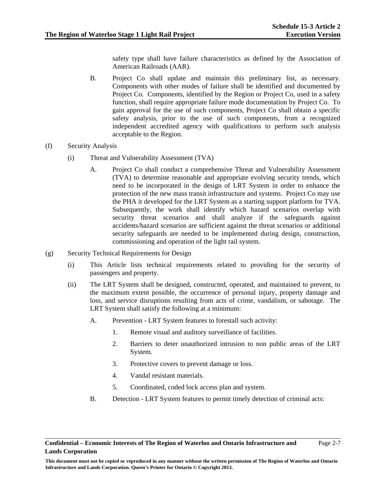safety type shall have failure characteristics as defined by the Association of American Railroads (AAR).

- B. Project Co shall update and maintain this preliminary list, as necessary. Components with other modes of failure shall be identified and documented by Project Co. Components, identified by the Region or Project Co, used in a safety function, shall require appropriate failure mode documentation by Project Co. To gain approval for the use of such components, Project Co shall obtain a specific safety analysis, prior to the use of such components, from a recognized independent accredited agency with qualifications to perform such analysis acceptable to the Region.
- (f) Security Analysis
	- (i) Threat and Vulnerability Assessment (TVA)
		- A. Project Co shall conduct a comprehensive Threat and Vulnerability Assessment (TVA) to determine reasonable and appropriate evolving security trends, which need to be incorporated in the design of LRT System in order to enhance the protection of the new mass transit infrastructure and systems. Project Co may use the PHA it developed for the LRT System as a starting support platform for TVA. Subsequently, the work shall identify which hazard scenarios overlap with security threat scenarios and shall analyze if the safeguards against accidents/hazard scenarios are sufficient against the threat scenarios or additional security safeguards are needed to be implemented during design, construction, commissioning and operation of the light rail system.
- (g) Security Technical Requirements for Design
	- (i) This Article lists technical requirements related to providing for the security of passengers and property.
	- (ii) The LRT System shall be designed, constructed, operated, and maintained to prevent, to the maximum extent possible, the occurrence of personal injury, property damage and loss, and service disruptions resulting from acts of crime, vandalism, or sabotage. The LRT System shall satisfy the following at a minimum:
		- A. Prevention LRT System features to forestall such activity:
			- 1. Remote visual and auditory surveillance of facilities.
			- 2. Barriers to deter unauthorized intrusion to non public areas of the LRT System.
			- 3. Protective covers to prevent damage or loss.
			- 4. Vandal resistant materials.
			- 5. Coordinated, coded lock access plan and system.
		- B. Detection LRT System features to permit timely detection of criminal acts: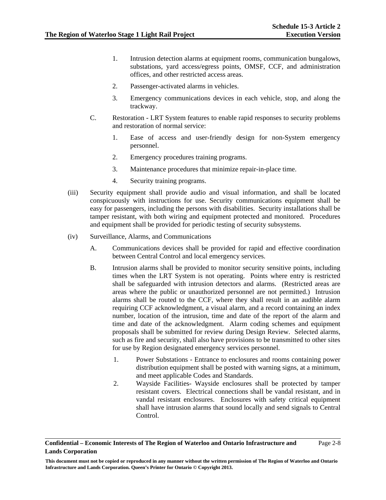- 1. Intrusion detection alarms at equipment rooms, communication bungalows, substations, yard access/egress points, OMSF, CCF, and administration offices, and other restricted access areas.
- 2. Passenger-activated alarms in vehicles.
- 3. Emergency communications devices in each vehicle, stop, and along the trackway.
- C. Restoration LRT System features to enable rapid responses to security problems and restoration of normal service:
	- 1. Ease of access and user-friendly design for non-System emergency personnel.
	- 2. Emergency procedures training programs.
	- 3. Maintenance procedures that minimize repair-in-place time.
	- 4. Security training programs.
- (iii) Security equipment shall provide audio and visual information, and shall be located conspicuously with instructions for use. Security communications equipment shall be easy for passengers, including the persons with disabilities. Security installations shall be tamper resistant, with both wiring and equipment protected and monitored. Procedures and equipment shall be provided for periodic testing of security subsystems.
- (iv) Surveillance, Alarms, and Communications
	- A. Communications devices shall be provided for rapid and effective coordination between Central Control and local emergency services.
	- B. Intrusion alarms shall be provided to monitor security sensitive points, including times when the LRT System is not operating. Points where entry is restricted shall be safeguarded with intrusion detectors and alarms. (Restricted areas are areas where the public or unauthorized personnel are not permitted.) Intrusion alarms shall be routed to the CCF, where they shall result in an audible alarm requiring CCF acknowledgment, a visual alarm, and a record containing an index number, location of the intrusion, time and date of the report of the alarm and time and date of the acknowledgment. Alarm coding schemes and equipment proposals shall be submitted for review during Design Review. Selected alarms, such as fire and security, shall also have provisions to be transmitted to other sites for use by Region designated emergency services personnel.
		- 1. Power Substations Entrance to enclosures and rooms containing power distribution equipment shall be posted with warning signs, at a minimum, and meet applicable Codes and Standards.
		- 2. Wayside Facilities- Wayside enclosures shall be protected by tamper resistant covers. Electrical connections shall be vandal resistant, and in vandal resistant enclosures. Enclosures with safety critical equipment shall have intrusion alarms that sound locally and send signals to Central Control.

### **Confidential – Economic Interests of The Region of Waterloo and Ontario Infrastructure and Lands Corporation**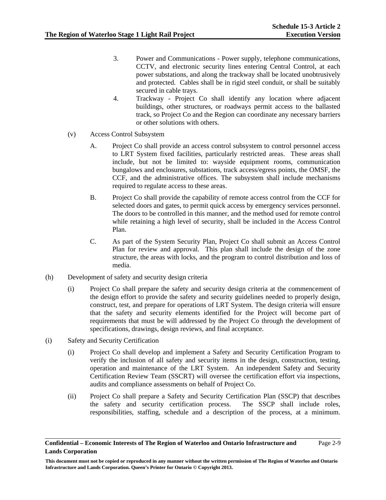- 3. Power and Communications Power supply, telephone communications, CCTV, and electronic security lines entering Central Control, at each power substations, and along the trackway shall be located unobtrusively and protected. Cables shall be in rigid steel conduit, or shall be suitably secured in cable trays.
- 4. Trackway Project Co shall identify any location where adjacent buildings, other structures, or roadways permit access to the ballasted track, so Project Co and the Region can coordinate any necessary barriers or other solutions with others.
- (v) Access Control Subsystem
	- A. Project Co shall provide an access control subsystem to control personnel access to LRT System fixed facilities, particularly restricted areas. These areas shall include, but not be limited to: wayside equipment rooms, communication bungalows and enclosures, substations, track access/egress points, the OMSF, the CCF, and the administrative offices. The subsystem shall include mechanisms required to regulate access to these areas.
	- B. Project Co shall provide the capability of remote access control from the CCF for selected doors and gates, to permit quick access by emergency services personnel. The doors to be controlled in this manner, and the method used for remote control while retaining a high level of security, shall be included in the Access Control Plan.
	- C. As part of the System Security Plan, Project Co shall submit an Access Control Plan for review and approval. This plan shall include the design of the zone structure, the areas with locks, and the program to control distribution and loss of media.
- (h) Development of safety and security design criteria
	- (i) Project Co shall prepare the safety and security design criteria at the commencement of the design effort to provide the safety and security guidelines needed to properly design, construct, test, and prepare for operations of LRT System. The design criteria will ensure that the safety and security elements identified for the Project will become part of requirements that must be will addressed by the Project Co through the development of specifications, drawings, design reviews, and final acceptance.
- (i) Safety and Security Certification
	- (i) Project Co shall develop and implement a Safety and Security Certification Program to verify the inclusion of all safety and security items in the design, construction, testing, operation and maintenance of the LRT System. An independent Safety and Security Certification Review Team (SSCRT) will oversee the certification effort via inspections, audits and compliance assessments on behalf of Project Co.
	- (ii) Project Co shall prepare a Safety and Security Certification Plan (SSCP) that describes the safety and security certification process. The SSCP shall include roles, responsibilities, staffing, schedule and a description of the process, at a minimum.

**Confidential – Economic Interests of The Region of Waterloo and Ontario Infrastructure and Lands Corporation** 

**This document must not be copied or reproduced in any manner without the written permission of The Region of Waterloo and Ontario Infrastructure and Lands Corporation. Queen's Printer for Ontario © Copyright 2013.**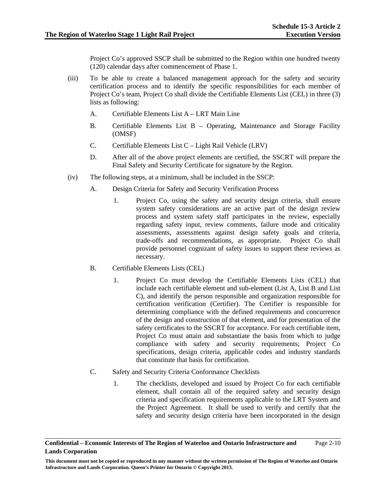Project Co's approved SSCP shall be submitted to the Region within one hundred twenty (120) calendar days after commencement of Phase 1.

- (iii) To be able to create a balanced management approach for the safety and security certification process and to identify the specific responsibilities for each member of Project Co's team, Project Co shall divide the Certifiable Elements List (CEL) in three (3) lists as following:
	- A. Certifiable Elements List A LRT Main Line
	- B. Certifiable Elements List B Operating, Maintenance and Storage Facility (OMSF)
	- C. Certifiable Elements List C Light Rail Vehicle (LRV)
	- D. After all of the above project elements are certified, the SSCRT will prepare the Final Safety and Security Certificate for signature by the Region.
- (iv) The following steps, at a minimum, shall be included in the SSCP:
	- A. Design Criteria for Safety and Security Verification Process
		- 1. Project Co, using the safety and security design criteria, shall ensure system safety considerations are an active part of the design review process and system safety staff participates in the review, especially regarding safety input, review comments, failure mode and criticality assessments, assessments against design safety goals and criteria, trade-offs and recommendations, as appropriate. Project Co shall provide personnel cognizant of safety issues to support these reviews as necessary.
	- B. Certifiable Elements Lists (CEL)
		- 1. Project Co must develop the Certifiable Elements Lists (CEL) that include each certifiable element and sub-element (List A, List B and List C), and identify the person responsible and organization responsible for certification verification (Certifier). The Certifier is responsible for determining compliance with the defined requirements and concurrence of the design and construction of that element, and for presentation of the safety certificates to the SSCRT for acceptance. For each certifiable item, Project Co must attain and substantiate the basis from which to judge compliance with safety and security requirements; Project Co specifications, design criteria, applicable codes and industry standards that constitute that basis for certification.
	- C. Safety and Security Criteria Conformance Checklists
		- 1. The checklists, developed and issued by Project Co for each certifiable element, shall contain all of the required safety and security design criteria and specification requirements applicable to the LRT System and the Project Agreement. It shall be used to verify and certify that the safety and security design criteria have been incorporated in the design

#### **Confidential – Economic Interests of The Region of Waterloo and Ontario Infrastructure and Lands Corporation**  Page 2-10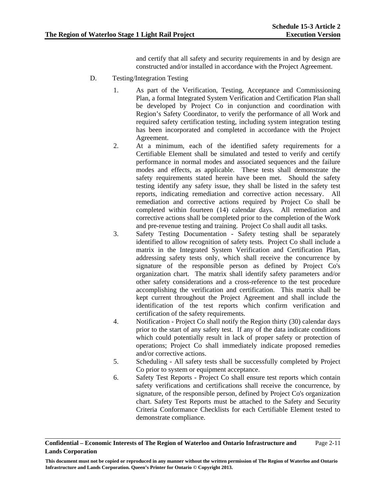and certify that all safety and security requirements in and by design are constructed and/or installed in accordance with the Project Agreement.

- D. Testing/Integration Testing
	- 1. As part of the Verification, Testing, Acceptance and Commissioning Plan, a formal Integrated System Verification and Certification Plan shall be developed by Project Co in conjunction and coordination with Region's Safety Coordinator, to verify the performance of all Work and required safety certification testing, including system integration testing has been incorporated and completed in accordance with the Project Agreement.
	- 2. At a minimum, each of the identified safety requirements for a Certifiable Element shall be simulated and tested to verify and certify performance in normal modes and associated sequences and the failure modes and effects, as applicable. These tests shall demonstrate the safety requirements stated herein have been met. Should the safety testing identify any safety issue, they shall be listed in the safety test reports, indicating remediation and corrective action necessary. All remediation and corrective actions required by Project Co shall be completed within fourteen (14) calendar days. All remediation and corrective actions shall be completed prior to the completion of the Work and pre-revenue testing and training. Project Co shall audit all tasks.
	- 3. Safety Testing Documentation Safety testing shall be separately identified to allow recognition of safety tests. Project Co shall include a matrix in the Integrated System Verification and Certification Plan, addressing safety tests only, which shall receive the concurrence by signature of the responsible person as defined by Project Co's organization chart. The matrix shall identify safety parameters and/or other safety considerations and a cross-reference to the test procedure accomplishing the verification and certification. This matrix shall be kept current throughout the Project Agreement and shall include the identification of the test reports which confirm verification and certification of the safety requirements.
	- 4. Notification Project Co shall notify the Region thirty (30) calendar days prior to the start of any safety test. If any of the data indicate conditions which could potentially result in lack of proper safety or protection of operations; Project Co shall immediately indicate proposed remedies and/or corrective actions.
	- 5. Scheduling All safety tests shall be successfully completed by Project Co prior to system or equipment acceptance.
	- 6. Safety Test Reports Project Co shall ensure test reports which contain safety verifications and certifications shall receive the concurrence, by signature, of the responsible person, defined by Project Co's organization chart. Safety Test Reports must be attached to the Safety and Security Criteria Conformance Checklists for each Certifiable Element tested to demonstrate compliance.

#### **Confidential – Economic Interests of The Region of Waterloo and Ontario Infrastructure and Lands Corporation**  Page 2-11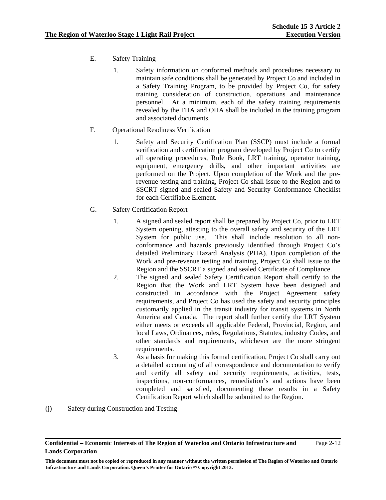- E. Safety Training
	- 1. Safety information on conformed methods and procedures necessary to maintain safe conditions shall be generated by Project Co and included in a Safety Training Program, to be provided by Project Co, for safety training consideration of construction, operations and maintenance personnel. At a minimum, each of the safety training requirements revealed by the FHA and OHA shall be included in the training program and associated documents.
- F. Operational Readiness Verification
	- 1. Safety and Security Certification Plan (SSCP) must include a formal verification and certification program developed by Project Co to certify all operating procedures, Rule Book, LRT training, operator training, equipment, emergency drills, and other important activities are performed on the Project. Upon completion of the Work and the prerevenue testing and training, Project Co shall issue to the Region and to SSCRT signed and sealed Safety and Security Conformance Checklist for each Certifiable Element.
- G. Safety Certification Report
	- 1. A signed and sealed report shall be prepared by Project Co, prior to LRT System opening, attesting to the overall safety and security of the LRT System for public use. This shall include resolution to all nonconformance and hazards previously identified through Project Co's detailed Preliminary Hazard Analysis (PHA). Upon completion of the Work and pre-revenue testing and training, Project Co shall issue to the Region and the SSCRT a signed and sealed Certificate of Compliance.
	- 2. The signed and sealed Safety Certification Report shall certify to the Region that the Work and LRT System have been designed and constructed in accordance with the Project Agreement safety requirements, and Project Co has used the safety and security principles customarily applied in the transit industry for transit systems in North America and Canada. The report shall further certify the LRT System either meets or exceeds all applicable Federal, Provincial, Region, and local Laws, Ordinances, rules, Regulations, Statutes, industry Codes, and other standards and requirements, whichever are the more stringent requirements.
	- 3. As a basis for making this formal certification, Project Co shall carry out a detailed accounting of all correspondence and documentation to verify and certify all safety and security requirements, activities, tests, inspections, non-conformances, remediation's and actions have been completed and satisfied, documenting these results in a Safety Certification Report which shall be submitted to the Region.
- (j) Safety during Construction and Testing

**Confidential – Economic Interests of The Region of Waterloo and Ontario Infrastructure and Lands Corporation**  Page 2-12

**This document must not be copied or reproduced in any manner without the written permission of The Region of Waterloo and Ontario Infrastructure and Lands Corporation. Queen's Printer for Ontario © Copyright 2013.**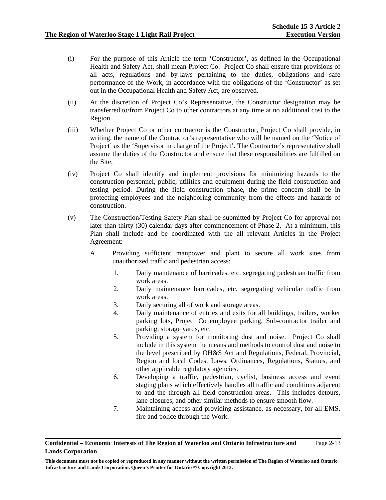- (i) For the purpose of this Article the term 'Constructor', as defined in the Occupational Health and Safety Act, shall mean Project Co. Project Co shall ensure that provisions of all acts, regulations and by-laws pertaining to the duties, obligations and safe performance of the Work, in accordance with the obligations of the 'Constructor' as set out in the Occupational Health and Safety Act, are observed.
- (ii) At the discretion of Project Co's Representative, the Constructor designation may be transferred to/from Project Co to other contractors at any time at no additional cost to the Region.
- (iii) Whether Project Co or other contractor is the Constructor, Project Co shall provide, in writing, the name of the Contractor's representative who will be named on the 'Notice of Project' as the 'Supervisor in charge of the Project'. The Contractor's representative shall assume the duties of the Constructor and ensure that these responsibilities are fulfilled on the Site.
- (iv) Project Co shall identify and implement provisions for minimizing hazards to the construction personnel, public, utilities and equipment during the field construction and testing period. During the field construction phase, the prime concern shall be in protecting employees and the neighboring community from the effects and hazards of construction.
- (v) The Construction/Testing Safety Plan shall be submitted by Project Co for approval not later than thirty (30) calendar days after commencement of Phase 2. At a minimum, this Plan shall include and be coordinated with the all relevant Articles in the Project Agreement:
	- A. Providing sufficient manpower and plant to secure all work sites from unauthorized traffic and pedestrian access:
		- 1. Daily maintenance of barricades, etc. segregating pedestrian traffic from work areas.
		- 2. Daily maintenance barricades, etc. segregating vehicular traffic from work areas.
		- 3. Daily securing all of work and storage areas.
		- 4. Daily maintenance of entries and exits for all buildings, trailers, worker parking lots, Project Co employee parking, Sub-contractor trailer and parking, storage yards, etc.
		- 5. Providing a system for monitoring dust and noise. Project Co shall include in this system the means and methods to control dust and noise to the level prescribed by OH&S Act and Regulations, Federal, Provincial, Region and local Codes, Laws, Ordinances, Regulations, Statues, and other applicable regulatory agencies.
		- 6. Developing a traffic, pedestrian, cyclist, business access and event staging plans which effectively handles all traffic and conditions adjacent to and the through all field construction areas. This includes detours, lane closures, and other similar methods to ensure smooth flow.
		- 7. Maintaining access and providing assistance, as necessary, for all EMS, fire and police through the Work.

**Confidential – Economic Interests of The Region of Waterloo and Ontario Infrastructure and Lands Corporation**  Page 2-13

**This document must not be copied or reproduced in any manner without the written permission of The Region of Waterloo and Ontario Infrastructure and Lands Corporation. Queen's Printer for Ontario © Copyright 2013.**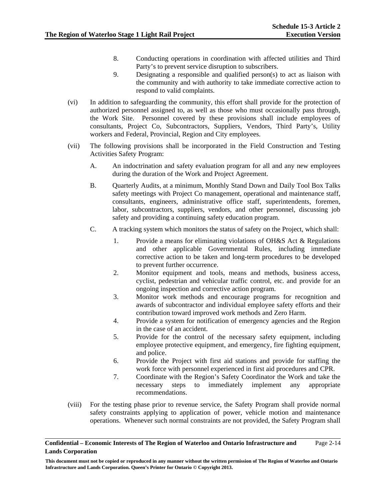- 8. Conducting operations in coordination with affected utilities and Third Party's to prevent service disruption to subscribers.
- 9. Designating a responsible and qualified person(s) to act as liaison with the community and with authority to take immediate corrective action to respond to valid complaints.
- (vi) In addition to safeguarding the community, this effort shall provide for the protection of authorized personnel assigned to, as well as those who must occasionally pass through, the Work Site. Personnel covered by these provisions shall include employees of consultants, Project Co, Subcontractors, Suppliers, Vendors, Third Party's, Utility workers and Federal, Provincial, Region and City employees.
- (vii) The following provisions shall be incorporated in the Field Construction and Testing Activities Safety Program:
	- A. An indoctrination and safety evaluation program for all and any new employees during the duration of the Work and Project Agreement.
	- B. Quarterly Audits, at a minimum, Monthly Stand Down and Daily Tool Box Talks safety meetings with Project Co management, operational and maintenance staff, consultants, engineers, administrative office staff, superintendents, foremen, labor, subcontractors, suppliers, vendors, and other personnel, discussing job safety and providing a continuing safety education program.
	- C. A tracking system which monitors the status of safety on the Project, which shall:
		- 1. Provide a means for eliminating violations of OH&S Act & Regulations and other applicable Governmental Rules, including immediate corrective action to be taken and long-term procedures to be developed to prevent further occurrence.
		- 2. Monitor equipment and tools, means and methods, business access, cyclist, pedestrian and vehicular traffic control, etc. and provide for an ongoing inspection and corrective action program.
		- 3. Monitor work methods and encourage programs for recognition and awards of subcontractor and individual employee safety efforts and their contribution toward improved work methods and Zero Harm.
		- 4. Provide a system for notification of emergency agencies and the Region in the case of an accident.
		- 5. Provide for the control of the necessary safety equipment, including employee protective equipment, and emergency, fire fighting equipment, and police.
		- 6. Provide the Project with first aid stations and provide for staffing the work force with personnel experienced in first aid procedures and CPR.
		- 7. Coordinate with the Region's Safety Coordinator the Work and take the necessary steps to immediately implement any appropriate recommendations.
- (viii) For the testing phase prior to revenue service, the Safety Program shall provide normal safety constraints applying to application of power, vehicle motion and maintenance operations. Whenever such normal constraints are not provided, the Safety Program shall

#### **Confidential – Economic Interests of The Region of Waterloo and Ontario Infrastructure and Lands Corporation**  Page 2-14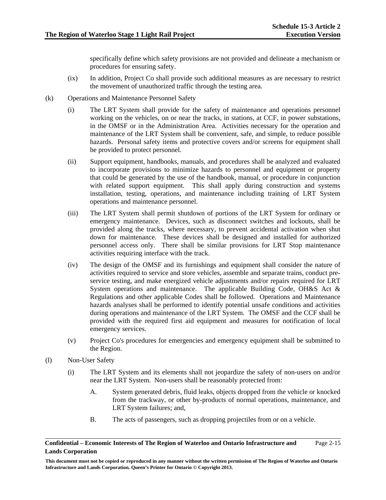specifically define which safety provisions are not provided and delineate a mechanism or procedures for ensuring safety.

- (ix) In addition, Project Co shall provide such additional measures as are necessary to restrict the movement of unauthorized traffic through the testing area.
- (k) Operations and Maintenance Personnel Safety
	- (i) The LRT System shall provide for the safety of maintenance and operations personnel working on the vehicles, on or near the tracks, in stations, at CCF, in power substations, in the OMSF or in the Administration Area. Activities necessary for the operation and maintenance of the LRT System shall be convenient, safe, and simple, to reduce possible hazards. Personal safety items and protective covers and/or screens for equipment shall be provided to protect personnel.
	- (ii) Support equipment, handbooks, manuals, and procedures shall be analyzed and evaluated to incorporate provisions to minimize hazards to personnel and equipment or property that could be generated by the use of the handbook, manual, or procedure in conjunction with related support equipment. This shall apply during construction and systems installation, testing, operations, and maintenance including training of LRT System operations and maintenance personnel.
	- (iii) The LRT System shall permit shutdown of portions of the LRT System for ordinary or emergency maintenance. Devices, such as disconnect switches and lockouts, shall be provided along the tracks, where necessary, to prevent accidental activation when shut down for maintenance. These devices shall be designed and installed for authorized personnel access only. There shall be similar provisions for LRT Stop maintenance activities requiring interface with the track.
	- (iv) The design of the OMSF and its furnishings and equipment shall consider the nature of activities required to service and store vehicles, assemble and separate trains, conduct preservice testing, and make energized vehicle adjustments and/or repairs required for LRT System operations and maintenance. The applicable Building Code, OH&S Act & Regulations and other applicable Codes shall be followed. Operations and Maintenance hazards analyses shall be performed to identify potential unsafe conditions and activities during operations and maintenance of the LRT System. The OMSF and the CCF shall be provided with the required first aid equipment and measures for notification of local emergency services.
	- (v) Project Co's procedures for emergencies and emergency equipment shall be submitted to the Region.
- (l) Non-User Safety
	- (i) The LRT System and its elements shall not jeopardize the safety of non-users on and/or near the LRT System. Non-users shall be reasonably protected from:
		- A. System generated debris, fluid leaks, objects dropped from the vehicle or knocked from the trackway, or other by-products of normal operations, maintenance, and LRT System failures; and,
		- B. The acts of passengers, such as dropping projectiles from or on a vehicle.

#### **Confidential – Economic Interests of The Region of Waterloo and Ontario Infrastructure and Lands Corporation**  Page 2-15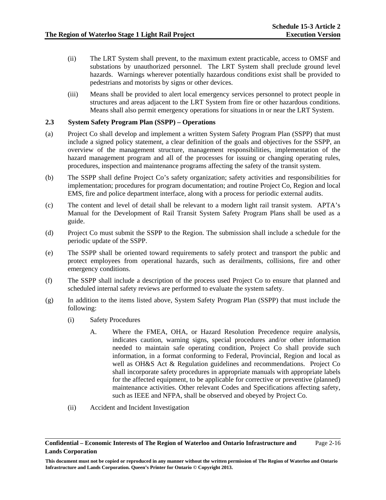- (ii) The LRT System shall prevent, to the maximum extent practicable, access to OMSF and substations by unauthorized personnel. The LRT System shall preclude ground level hazards. Warnings wherever potentially hazardous conditions exist shall be provided to pedestrians and motorists by signs or other devices.
- (iii) Means shall be provided to alert local emergency services personnel to protect people in structures and areas adjacent to the LRT System from fire or other hazardous conditions. Means shall also permit emergency operations for situations in or near the LRT System.

#### **2.3 System Safety Program Plan (SSPP) – Operations**

- (a) Project Co shall develop and implement a written System Safety Program Plan (SSPP) that must include a signed policy statement, a clear definition of the goals and objectives for the SSPP, an overview of the management structure, management responsibilities, implementation of the hazard management program and all of the processes for issuing or changing operating rules, procedures, inspection and maintenance programs affecting the safety of the transit system.
- (b) The SSPP shall define Project Co's safety organization; safety activities and responsibilities for implementation; procedures for program documentation; and routine Project Co, Region and local EMS, fire and police department interface, along with a process for periodic external audits.
- (c) The content and level of detail shall be relevant to a modern light rail transit system. APTA's Manual for the Development of Rail Transit System Safety Program Plans shall be used as a guide.
- (d) Project Co must submit the SSPP to the Region. The submission shall include a schedule for the periodic update of the SSPP.
- (e) The SSPP shall be oriented toward requirements to safely protect and transport the public and protect employees from operational hazards, such as derailments, collisions, fire and other emergency conditions.
- (f) The SSPP shall include a description of the process used Project Co to ensure that planned and scheduled internal safety reviews are performed to evaluate the system safety.
- (g) In addition to the items listed above, System Safety Program Plan (SSPP) that must include the following:
	- (i) Safety Procedures
		- A. Where the FMEA, OHA, or Hazard Resolution Precedence require analysis, indicates caution, warning signs, special procedures and/or other information needed to maintain safe operating condition, Project Co shall provide such information, in a format conforming to Federal, Provincial, Region and local as well as OH&S Act & Regulation guidelines and recommendations. Project Co shall incorporate safety procedures in appropriate manuals with appropriate labels for the affected equipment, to be applicable for corrective or preventive (planned) maintenance activities. Other relevant Codes and Specifications affecting safety, such as IEEE and NFPA, shall be observed and obeyed by Project Co.
	- (ii) Accident and Incident Investigation

**Confidential – Economic Interests of The Region of Waterloo and Ontario Infrastructure and Lands Corporation**  Page 2-16

**This document must not be copied or reproduced in any manner without the written permission of The Region of Waterloo and Ontario Infrastructure and Lands Corporation. Queen's Printer for Ontario © Copyright 2013.**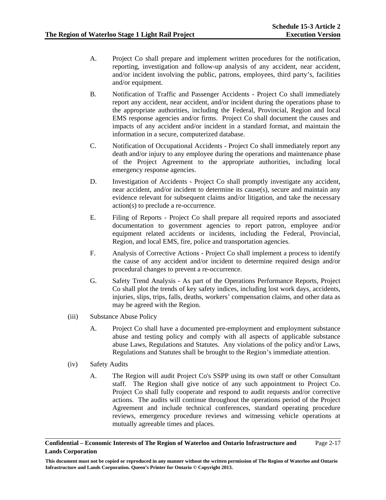- A. Project Co shall prepare and implement written procedures for the notification, reporting, investigation and follow-up analysis of any accident, near accident, and/or incident involving the public, patrons, employees, third party's, facilities and/or equipment.
- B. Notification of Traffic and Passenger Accidents Project Co shall immediately report any accident, near accident, and/or incident during the operations phase to the appropriate authorities, including the Federal, Provincial, Region and local EMS response agencies and/or firms. Project Co shall document the causes and impacts of any accident and/or incident in a standard format, and maintain the information in a secure, computerized database.
- C. Notification of Occupational Accidents Project Co shall immediately report any death and/or injury to any employee during the operations and maintenance phase of the Project Agreement to the appropriate authorities, including local emergency response agencies.
- D. Investigation of Accidents Project Co shall promptly investigate any accident, near accident, and/or incident to determine its cause(s), secure and maintain any evidence relevant for subsequent claims and/or litigation, and take the necessary action(s) to preclude a re-occurrence.
- E. Filing of Reports Project Co shall prepare all required reports and associated documentation to government agencies to report patron, employee and/or equipment related accidents or incidents, including the Federal, Provincial, Region, and local EMS, fire, police and transportation agencies.
- F. Analysis of Corrective Actions Project Co shall implement a process to identify the cause of any accident and/or incident to determine required design and/or procedural changes to prevent a re-occurrence.
- G. Safety Trend Analysis As part of the Operations Performance Reports, Project Co shall plot the trends of key safety indices, including lost work days, accidents, injuries, slips, trips, falls, deaths, workers' compensation claims, and other data as may be agreed with the Region.
- (iii) Substance Abuse Policy
	- A. Project Co shall have a documented pre-employment and employment substance abuse and testing policy and comply with all aspects of applicable substance abuse Laws, Regulations and Statutes. Any violations of the policy and/or Laws, Regulations and Statutes shall be brought to the Region's immediate attention.
- (iv) Safety Audits
	- A. The Region will audit Project Co's SSPP using its own staff or other Consultant staff. The Region shall give notice of any such appointment to Project Co. Project Co shall fully cooperate and respond to audit requests and/or corrective actions. The audits will continue throughout the operations period of the Project Agreement and include technical conferences, standard operating procedure reviews, emergency procedure reviews and witnessing vehicle operations at mutually agreeable times and places.

#### **Confidential – Economic Interests of The Region of Waterloo and Ontario Infrastructure and Lands Corporation**  Page 2-17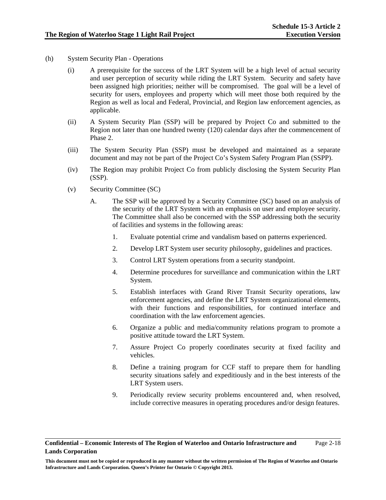- (h) System Security Plan Operations
	- (i) A prerequisite for the success of the LRT System will be a high level of actual security and user perception of security while riding the LRT System. Security and safety have been assigned high priorities; neither will be compromised. The goal will be a level of security for users, employees and property which will meet those both required by the Region as well as local and Federal, Provincial, and Region law enforcement agencies, as applicable.
	- (ii) A System Security Plan (SSP) will be prepared by Project Co and submitted to the Region not later than one hundred twenty (120) calendar days after the commencement of Phase 2.
	- (iii) The System Security Plan (SSP) must be developed and maintained as a separate document and may not be part of the Project Co's System Safety Program Plan (SSPP).
	- (iv) The Region may prohibit Project Co from publicly disclosing the System Security Plan (SSP).
	- (v) Security Committee (SC)
		- A. The SSP will be approved by a Security Committee (SC) based on an analysis of the security of the LRT System with an emphasis on user and employee security. The Committee shall also be concerned with the SSP addressing both the security of facilities and systems in the following areas:
			- 1. Evaluate potential crime and vandalism based on patterns experienced.
			- 2. Develop LRT System user security philosophy, guidelines and practices.
			- 3. Control LRT System operations from a security standpoint.
			- 4. Determine procedures for surveillance and communication within the LRT System.
			- 5. Establish interfaces with Grand River Transit Security operations, law enforcement agencies, and define the LRT System organizational elements, with their functions and responsibilities, for continued interface and coordination with the law enforcement agencies.
			- 6. Organize a public and media/community relations program to promote a positive attitude toward the LRT System.
			- 7. Assure Project Co properly coordinates security at fixed facility and vehicles.
			- 8. Define a training program for CCF staff to prepare them for handling security situations safely and expeditiously and in the best interests of the LRT System users.
			- 9. Periodically review security problems encountered and, when resolved, include corrective measures in operating procedures and/or design features.

**This document must not be copied or reproduced in any manner without the written permission of The Region of Waterloo and Ontario Infrastructure and Lands Corporation. Queen's Printer for Ontario © Copyright 2013.**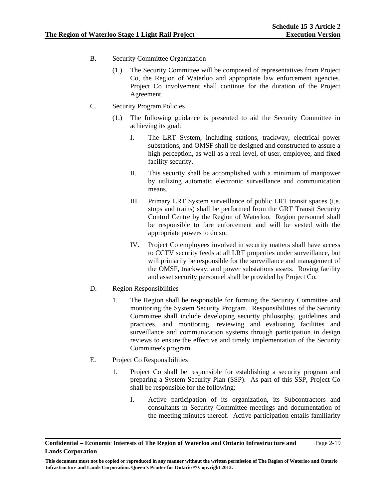- B. Security Committee Organization
	- (1.) The Security Committee will be composed of representatives from Project Co, the Region of Waterloo and appropriate law enforcement agencies. Project Co involvement shall continue for the duration of the Project Agreement.
- C. Security Program Policies
	- (1.) The following guidance is presented to aid the Security Committee in achieving its goal:
		- I. The LRT System, including stations, trackway, electrical power substations, and OMSF shall be designed and constructed to assure a high perception, as well as a real level, of user, employee, and fixed facility security.
		- II. This security shall be accomplished with a minimum of manpower by utilizing automatic electronic surveillance and communication means.
		- III. Primary LRT System surveillance of public LRT transit spaces (i.e. stops and trains) shall be performed from the GRT Transit Security Control Centre by the Region of Waterloo. Region personnel shall be responsible to fare enforcement and will be vested with the appropriate powers to do so.
		- IV. Project Co employees involved in security matters shall have access to CCTV security feeds at all LRT properties under surveillance, but will primarily be responsible for the surveillance and management of the OMSF, trackway, and power substations assets. Roving facility and asset security personnel shall be provided by Project Co.
- D. Region Responsibilities
	- 1. The Region shall be responsible for forming the Security Committee and monitoring the System Security Program. Responsibilities of the Security Committee shall include developing security philosophy, guidelines and practices, and monitoring, reviewing and evaluating facilities and surveillance and communication systems through participation in design reviews to ensure the effective and timely implementation of the Security Committee's program.
- E. Project Co Responsibilities
	- 1. Project Co shall be responsible for establishing a security program and preparing a System Security Plan (SSP). As part of this SSP, Project Co shall be responsible for the following:
		- I. Active participation of its organization, its Subcontractors and consultants in Security Committee meetings and documentation of the meeting minutes thereof. Active participation entails familiarity

**Confidential – Economic Interests of The Region of Waterloo and Ontario Infrastructure and Lands Corporation**  Page 2-19

**This document must not be copied or reproduced in any manner without the written permission of The Region of Waterloo and Ontario Infrastructure and Lands Corporation. Queen's Printer for Ontario © Copyright 2013.**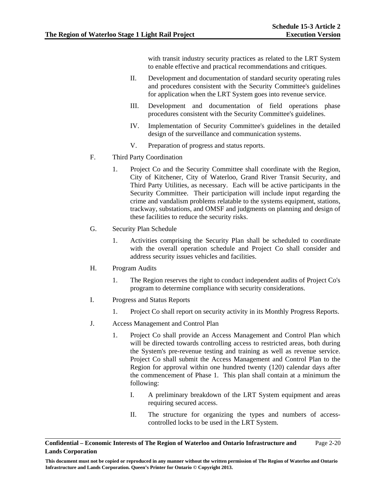with transit industry security practices as related to the LRT System to enable effective and practical recommendations and critiques.

- II. Development and documentation of standard security operating rules and procedures consistent with the Security Committee's guidelines for application when the LRT System goes into revenue service.
- III. Development and documentation of field operations phase procedures consistent with the Security Committee's guidelines.
- IV. Implementation of Security Committee's guidelines in the detailed design of the surveillance and communication systems.
- V. Preparation of progress and status reports.
- F. Third Party Coordination
	- 1. Project Co and the Security Committee shall coordinate with the Region, City of Kitchener, City of Waterloo, Grand River Transit Security, and Third Party Utilities, as necessary. Each will be active participants in the Security Committee. Their participation will include input regarding the crime and vandalism problems relatable to the systems equipment, stations, trackway, substations, and OMSF and judgments on planning and design of these facilities to reduce the security risks.
- G. Security Plan Schedule
	- 1. Activities comprising the Security Plan shall be scheduled to coordinate with the overall operation schedule and Project Co shall consider and address security issues vehicles and facilities.
- H. Program Audits
	- 1. The Region reserves the right to conduct independent audits of Project Co's program to determine compliance with security considerations.
- I. Progress and Status Reports
	- 1. Project Co shall report on security activity in its Monthly Progress Reports.
- J. Access Management and Control Plan
	- 1. Project Co shall provide an Access Management and Control Plan which will be directed towards controlling access to restricted areas, both during the System's pre-revenue testing and training as well as revenue service. Project Co shall submit the Access Management and Control Plan to the Region for approval within one hundred twenty (120) calendar days after the commencement of Phase 1. This plan shall contain at a minimum the following:
		- I. A preliminary breakdown of the LRT System equipment and areas requiring secured access.
		- II. The structure for organizing the types and numbers of accesscontrolled locks to be used in the LRT System.

#### **Confidential – Economic Interests of The Region of Waterloo and Ontario Infrastructure and Lands Corporation**  Page 2-20